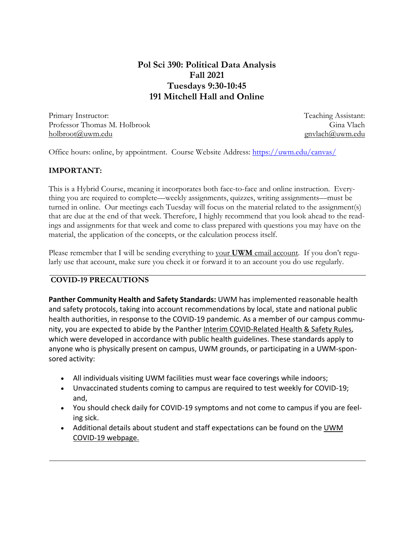# **Pol Sci 390: Political Data Analysis Fall 2021 Tuesdays 9:30-10:45 191 Mitchell Hall and Online**

Primary Instructor: Professor Thomas M. Holbrook holbroot@uwm.edu

Teaching Assistant: Gina Vlach gnvlach@uwm.edu

Office hours: online, by appointment. Course Website Address: https://uwm.edu/canvas/

## **IMPORTANT:**

This is a Hybrid Course, meaning it incorporates both face-to-face and online instruction. Everything you are required to complete—weekly assignments, quizzes, writing assignments—must be turned in online. Our meetings each Tuesday will focus on the material related to the assignment(s) that are due at the end of that week. Therefore, I highly recommend that you look ahead to the readings and assignments for that week and come to class prepared with questions you may have on the material, the application of the concepts, or the calculation process itself.

Please remember that I will be sending everything to your **UWM** email account. If you don't regularly use that account, make sure you check it or forward it to an account you do use regularly.

## **COVID-19 PRECAUTIONS**

**Panther Community Health and Safety Standards:** UWM has implemented reasonable health and safety protocols, taking into account recommendations by local, state and national public health authorities, in response to the COVID-19 pandemic. As a member of our campus community, you are expected to abide by the Panther Interim COVID‐Related Health & Safety Rules, which were developed in accordance with public health guidelines. These standards apply to anyone who is physically present on campus, UWM grounds, or participating in a UWM‐spon‐ sored activity:

- All individuals visiting UWM facilities must wear face coverings while indoors;
- Unvaccinated students coming to campus are required to test weekly for COVID‐19; and,
- You should check daily for COVID‐19 symptoms and not come to campus if you are feel‐ ing sick.
- Additional details about student and staff expectations can be found on the UWM COVID‐19 webpage.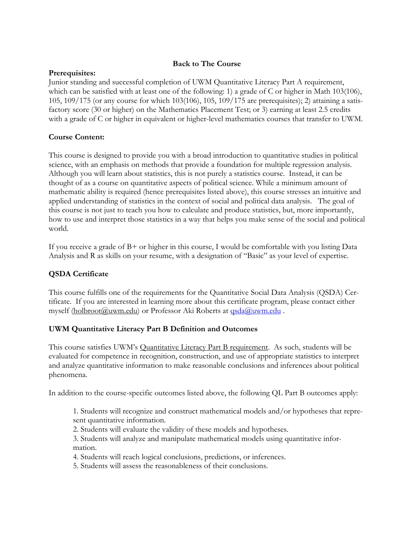## **Back to The Course**

## **Prerequisites:**

Junior standing and successful completion of UWM Quantitative Literacy Part A requirement, which can be satisfied with at least one of the following: 1) a grade of C or higher in Math 103(106), 105, 109/175 (or any course for which 103(106), 105, 109/175 are prerequisites); 2) attaining a satisfactory score (30 or higher) on the Mathematics Placement Test; or 3) earning at least 2.5 credits with a grade of C or higher in equivalent or higher-level mathematics courses that transfer to UWM.

## **Course Content:**

This course is designed to provide you with a broad introduction to quantitative studies in political science, with an emphasis on methods that provide a foundation for multiple regression analysis. Although you will learn about statistics, this is not purely a statistics course. Instead, it can be thought of as a course on quantitative aspects of political science. While a minimum amount of mathematic ability is required (hence prerequisites listed above), this course stresses an intuitive and applied understanding of statistics in the context of social and political data analysis. The goal of this course is not just to teach you how to calculate and produce statistics, but, more importantly, how to use and interpret those statistics in a way that helps you make sense of the social and political world.

If you receive a grade of B+ or higher in this course, I would be comfortable with you listing Data Analysis and R as skills on your resume, with a designation of "Basic" as your level of expertise.

## **QSDA Certificate**

This course fulfills one of the requirements for the Quantitative Social Data Analysis (QSDA) Certificate. If you are interested in learning more about this certificate program, please contact either myself (holbroot@uwm.edu) or Professor Aki Roberts at **qsda@uwm.edu**.

## **UWM Quantitative Literacy Part B Definition and Outcomes**

This course satisfies UWM's Quantitative Literacy Part B requirement. As such, students will be evaluated for competence in recognition, construction, and use of appropriate statistics to interpret and analyze quantitative information to make reasonable conclusions and inferences about political phenomena.

In addition to the course-specific outcomes listed above, the following QL Part B outcomes apply:

1. Students will recognize and construct mathematical models and/or hypotheses that represent quantitative information.

2. Students will evaluate the validity of these models and hypotheses.

3. Students will analyze and manipulate mathematical models using quantitative information.

4. Students will reach logical conclusions, predictions, or inferences.

5. Students will assess the reasonableness of their conclusions.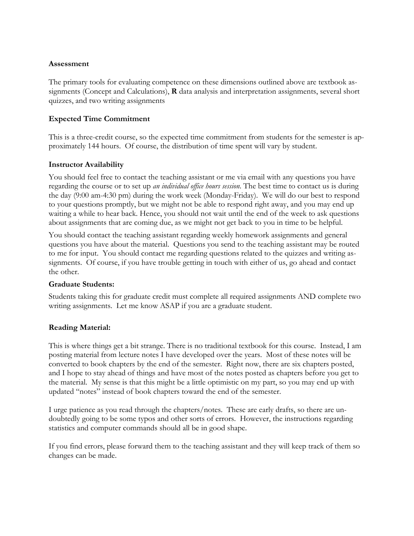## **Assessment**

The primary tools for evaluating competence on these dimensions outlined above are textbook assignments (Concept and Calculations), **R** data analysis and interpretation assignments, several short quizzes, and two writing assignments

#### **Expected Time Commitment**

This is a three-credit course, so the expected time commitment from students for the semester is approximately 144 hours. Of course, the distribution of time spent will vary by student.

#### **Instructor Availability**

You should feel free to contact the teaching assistant or me via email with any questions you have regarding the course or to set up *an individual office hours session*. The best time to contact us is during the day (9:00 am-4:30 pm) during the work week (Monday-Friday). We will do our best to respond to your questions promptly, but we might not be able to respond right away, and you may end up waiting a while to hear back. Hence, you should not wait until the end of the week to ask questions about assignments that are coming due, as we might not get back to you in time to be helpful.

You should contact the teaching assistant regarding weekly homework assignments and general questions you have about the material. Questions you send to the teaching assistant may be routed to me for input. You should contact me regarding questions related to the quizzes and writing assignments. Of course, if you have trouble getting in touch with either of us, go ahead and contact the other.

#### **Graduate Students:**

Students taking this for graduate credit must complete all required assignments AND complete two writing assignments. Let me know ASAP if you are a graduate student.

## **Reading Material:**

This is where things get a bit strange. There is no traditional textbook for this course. Instead, I am posting material from lecture notes I have developed over the years. Most of these notes will be converted to book chapters by the end of the semester. Right now, there are six chapters posted, and I hope to stay ahead of things and have most of the notes posted as chapters before you get to the material. My sense is that this might be a little optimistic on my part, so you may end up with updated "notes" instead of book chapters toward the end of the semester.

I urge patience as you read through the chapters/notes. These are early drafts, so there are undoubtedly going to be some typos and other sorts of errors. However, the instructions regarding statistics and computer commands should all be in good shape.

If you find errors, please forward them to the teaching assistant and they will keep track of them so changes can be made.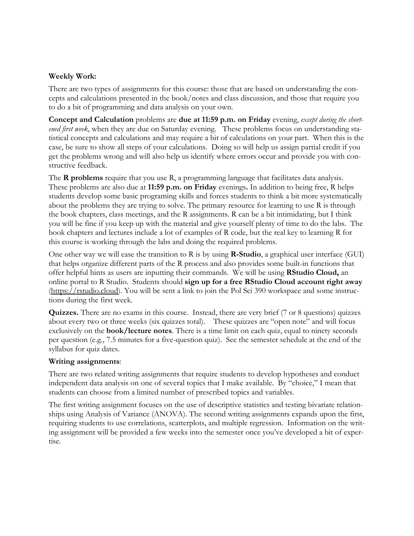## **Weekly Work:**

There are two types of assignments for this course: those that are based on understanding the concepts and calculations presented in the book/notes and class discussion, and those that require you to do a bit of programming and data analysis on your own.

**Concept and Calculation** problems are **due at 11:59 p.m. on Friday** evening, *except during the shortened first week*, when they are due on Saturday evening. These problems focus on understanding statistical concepts and calculations and may require a bit of calculations on your part. When this is the case, be sure to show all steps of your calculations. Doing so will help us assign partial credit if you get the problems wrong and will also help us identify where errors occur and provide you with constructive feedback.

The **R problems** require that you use R, a programming language that facilitates data analysis. These problems are also due at **11:59 p.m. on Friday** evenings**.** In addition to being free, R helps students develop some basic programing skills and forces students to think a bit more systematically about the problems they are trying to solve. The primary resource for learning to use R is through the book chapters, class meetings, and the R assignments. R can be a bit intimidating, but I think you will be fine if you keep up with the material and give yourself plenty of time to do the labs. The book chapters and lectures include a lot of examples of R code, but the real key to learning R for this course is working through the labs and doing the required problems.

One other way we will ease the transition to R is by using **R-Studio**, a graphical user interface (GUI) that helps organize different parts of the R process and also provides some built-in functions that offer helpful hints as users are inputting their commands. We will be using **RStudio Cloud,** an online portal to R Studio. Students should **sign up for a free RStudio Cloud account right away** (https://rstudio.cloud). You will be sent a link to join the Pol Sci 390 workspace and some instructions during the first week.

**Quizzes.** There are no exams in this course. Instead, there are very brief (7 or 8 questions) quizzes about every two or three weeks (six quizzes total). These quizzes are "open note" and will focus exclusively on the **book/lecture notes**. There is a time limit on each quiz, equal to ninety seconds per question (e.g., 7.5 minutes for a five-question quiz). See the semester schedule at the end of the syllabus for quiz dates.

## **Writing assignments**:

There are two related writing assignments that require students to develop hypotheses and conduct independent data analysis on one of several topics that I make available. By "choice," I mean that students can choose from a limited number of prescribed topics and variables.

The first writing assignment focuses on the use of descriptive statistics and testing bivariate relationships using Analysis of Variance (ANOVA). The second writing assignments expands upon the first, requiring students to use correlations, scatterplots, and multiple regression. Information on the writing assignment will be provided a few weeks into the semester once you've developed a bit of expertise.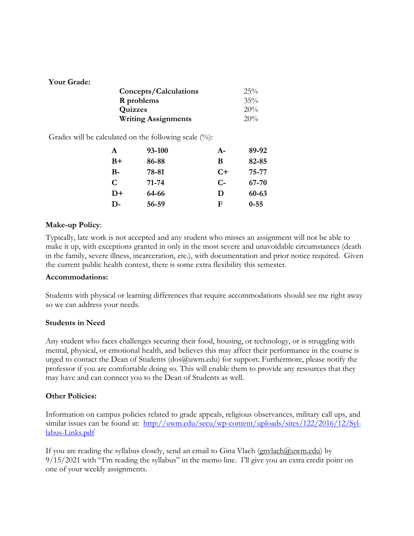## **Your Grade:**

| Concepts/Calculations      | $25\%$ |
|----------------------------|--------|
| R problems                 | $35\%$ |
| Quizzes                    | 20%    |
| <b>Writing Assignments</b> | 20%    |

Grades will be calculated on the following scale  $(\%)$ :

| $\mathbf{A}$ | 93-100 | $A-$ | 89-92          |  |
|--------------|--------|------|----------------|--|
| $B+$         | 86-88  | B    | 82-85<br>75-77 |  |
| $B-$         | 78-81  | $C+$ |                |  |
| C            | 71-74  | $C-$ | 67-70          |  |
| $D+$         | 64-66  | D    | 60-63          |  |
| $\mathbf{D}$ | 56-59  | F    | $0 - 55$       |  |

## **Make-up Policy**:

Typically, late work is not accepted and any student who misses an assignment will not be able to make it up, with exceptions granted in only in the most severe and unavoidable circumstances (death in the family, severe illness, incarceration, etc.), with documentation and prior notice required. Given the current public health context, there is some extra flexibility this semester.

## **Accommodations:**

Students with physical or learning differences that require accommodations should see me right away so we can address your needs.

## **Students in Need**

Any student who faces challenges securing their food, housing, or technology, or is struggling with mental, physical, or emotional health, and believes this may affect their performance in the course is urged to contact the Dean of Students (dos@uwm.edu) for support. Furthermore, please notify the professor if you are comfortable doing so. This will enable them to provide any resources that they may have and can connect you to the Dean of Students as well.

## **Other Policies:**

Information on campus policies related to grade appeals, religious observances, military call ups, and similar issues can be found at: http://uwm.edu/secu/wp-content/uploads/sites/122/2016/12/Syllabus-Links.pdf

If you are reading the syllabus closely, send an email to Gina Vlach (gnvlach@uwm.edu) by 9/15/2021 with "I'm reading the syllabus" in the memo line. I'll give you an extra credit point on one of your weekly assignments.